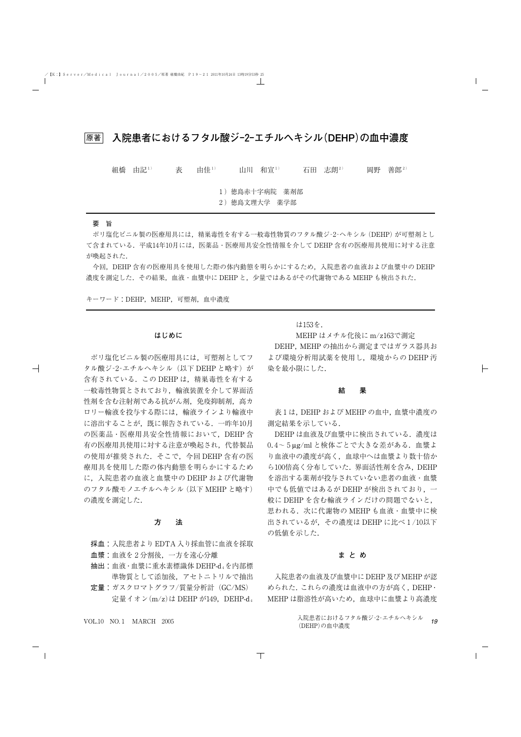原著 **入院患者におけるフタル酸ジ‐2‐エチルヘキシル(DEHP)の血中濃度**

| 組橋 | 由記1) | 表 | 由佳1) | 山川 和宣1)                         | 石田 志朗2) | 岡野 | 善郎 $2)$ |
|----|------|---|------|---------------------------------|---------|----|---------|
|    |      |   |      | 1) 徳島赤十字病院 薬剤部<br>2) 德島文理大学 薬学部 |         |    |         |

# 要 旨

ポリ塩化ビニル製の医療用具には,精巣毒性を有する一般毒性物質のフタル酸ジ‐2‐ヘキシル(DEHP)が可塑剤とし て含まれている.平成14年10月には,医薬品・医療用具安全性情報を介して DEHP 含有の医療用具使用に対する注意 が喚起された.

今回,DEHP 含有の医療用具を使用した際の体内動態を明らかにするため,入院患者の血液および血漿中の DEHP 濃度を測定した. その結果, 血液・血漿中に DEHP と, 少量ではあるがその代謝物である MEHP も検出された.

キーワード:DEHP, MEHP, 可塑剤, 血中濃度

#### **はじめに**

ポリ塩化ビニル製の医療用具には,可塑剤としてフ タル酸ジ-2-エチルヘキシル(以下 DEHP と略す)が 含有されている.この DEHP は,精巣毒性を有する 一般毒性物質とされており,輸液装置を介して界面活 性剤を含む注射剤である抗がん剤、免疫抑制剤、高カ ロリー輸液を投与する際には,輸液ラインより輸液中 に溶出することが,既に報告されている.一昨年10月 の医薬品・医療用具安全性情報において,DEHP 含 有の医療用具使用に対する注意が喚起され,代替製品 の使用が推奨された. そこで、今回 DEHP 含有の医 療用具を使用した際の体内動態を明らかにするため に,入院患者の血液と血漿中の DEHP および代謝物 のフタル酸モノエチルヘキシル(以下 MEHP と略す) の濃度を測定した.

# **方 法**

採血:入院患者より EDTA 入り採血管に血液を採取 血漿:血液を2分割後,一方を遠心分離

- 抽出:血液・血漿に重水素標識体 DEHP-d4を内部標 準物質として添加後,アセトニトリルで抽出
- 定量:ガスクロマトグラフ/質量分析計(GC/MS) 宗量イオン(m/z)は DEHP が149. DEHP-d4

MEHP はメチル化後に m/z163で測定

は153を.

DEHP, MEHP の抽出から測定まではガラス器具お よび環境分析用試薬を使用し,環境からの DEHP 汚 染を最小限にした.

#### **結 果**

表1は,DEHP および MEHP の血中,血漿中濃度の 測定結果を示している.

DEHP は血液及び血漿中に検出されている. 濃度は 0.4~5μg/ml と検体ごとで大きな差がある.血漿よ り血液中の濃度が高く,血球中へは血漿より数十倍か ら100倍高く分布していた. 界面活性剤を含み、DEHP を溶出する薬剤が投与されていない患者の血液・血漿 中でも低値ではあるが DEHP が検出されており,一 般に DEHP を含む輸液ラインだけの問題でないと, 思われる.次に代謝物の MEHP も血液・血漿中に検 出されているが,その濃度は DEHP に比べ1/10以下 の低値を示した.

## **まとめ**

入院患者の血液及び血漿中に DEHP 及びMEHPが認 められた.これらの濃度は血液中の方が高く,DEHP・ MEHP は脂溶性が高いため,血球中に血漿より高濃度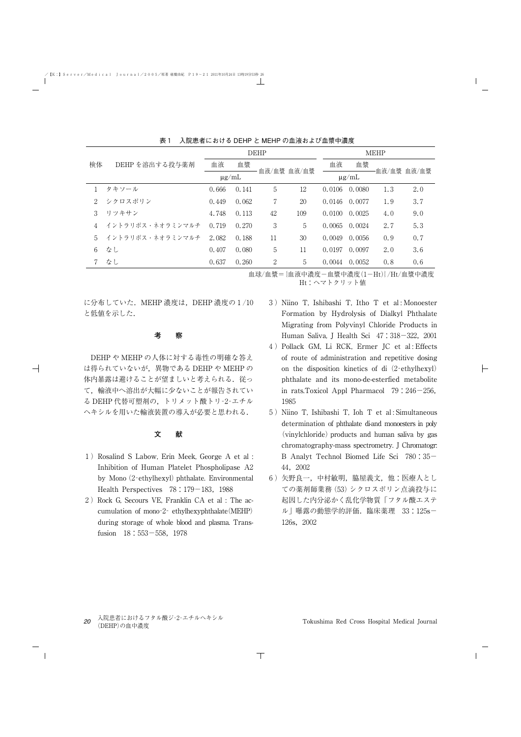|             |                  | DEHP       |       |             |     | <b>MEHP</b> |        |     |             |
|-------------|------------------|------------|-------|-------------|-----|-------------|--------|-----|-------------|
| 検体          | DEHPを溶出する投与薬剤    | 血液         | 血漿    |             |     | 血液          | 血漿     |     |             |
|             |                  | $\mu$ g/mL |       | 血液/血漿 血液/血漿 |     | $\mu$ g/mL  |        |     | 血液/血漿 血液/血漿 |
|             | タキソール            | 0.666      | 0.141 | 5           | 12  | 0.0106      | 0.0080 | 1.3 | 2.0         |
| $2^{\circ}$ | シクロスポリン          | 0.449      | 0.062 | 7           | 20  | 0.0146      | 0.0077 | 1.9 | 3.7         |
| 3           | リツキサン            | 4.748      | 0.113 | 42          | 109 | 0.0100      | 0.0025 | 4.0 | 9.0         |
|             | イントラリポス・ネオラミンマルチ | 0.719      | 0.270 | 3           | 5   | 0.0065      | 0.0024 | 2.7 | 5.3         |
| 5           | イントラリポス・ネオラミンマルチ | 2.082      | 0.188 | 11          | 30  | 0.0049      | 0.0056 | 0.9 | 0.7         |
| 6           | なし               | 0.407      | 0.080 | 5           | 11  | 0.0197      | 0.0097 | 2.0 | 3.6         |
|             | なし               | 0.637      | 0.260 | 2           | 5   | 0.0044      | 0.0052 | 0.8 | 0.6         |

表1 入院患者における DEHP と MEHP の血液および血漿中濃度

血球/血漿={血液中濃度-血漿中濃度(1-Ht)}/Ht/血漿中濃度 Ht:ヘマトクリット値

に分布していた.MEHP 濃度は,DEHP 濃度の1/10 と低値を示した.

#### **考 察**

DEHP や MEHP の人体に対する毒性の明確な答え は得られていないが,異物である DEHP や MEHP の 体内暴露は避けることが望ましいと考えられる。従っ て,輸液中へ溶出が大幅に少ないことが報告されてい る DEHP 代替可塑剤の,トリメット酸トリ‐2‐エチル ヘキシルを用いた輸液装置の導入が必要と思われる.

## **文 献**

- 1)Rosalind S Labow, Erin Meek, George A et al : Inhibition of Human Platelet Phospholipase A2 by Mono (2-ethylhexyl) phthalate. Environmental Health Perspectives  $78:179-183,1988$
- 2) Rock G, Secours VE, Franklin CA et al : The accumulation of mono‐2‐ ethylhexyphthalate(MEHP) during storage of whole blood and plasma. Transfusion 18:553-558,1978
- 3) Niino T, Ishibashi T, Itho T et al: Monoester Formation by Hydrolysis of Dialkyl Phthalate Migrating from Polyvinyl Chloride Products in Human Saliva, J Health Sci 47:318-322, 2001
- 4)Pollack GM, Li RCK, Ermer JC et al : Effects of route of administration and repetitive dosing on the disposition kinetics of di $(2$ -ethylhexyl) phthalate and its mono-de-esterfied metabolite in rats.Toxicol Appl Pharmacol 79:246-256, 1985
- 5) Niino T, Ishibashi T, Ioh T et al: Simultaneous determination of phthalate di-and monoesters in poly (vinylchloride) products and human saliva by gas chromatography-mass spectrometry. J Chromatogr: B Analyt Technol Biomed Life Sci 780:35- 44,2002
- 6)矢野良一,中村敏明,脇屋義文,他:医療人とし ての薬剤師業務(53)シクロスポリン点滴投与に 起因した内分泌かく乱化学物質「フタル酸エステ ル|曝露の動態学的評価.臨床薬理 33:125s-126s,2002